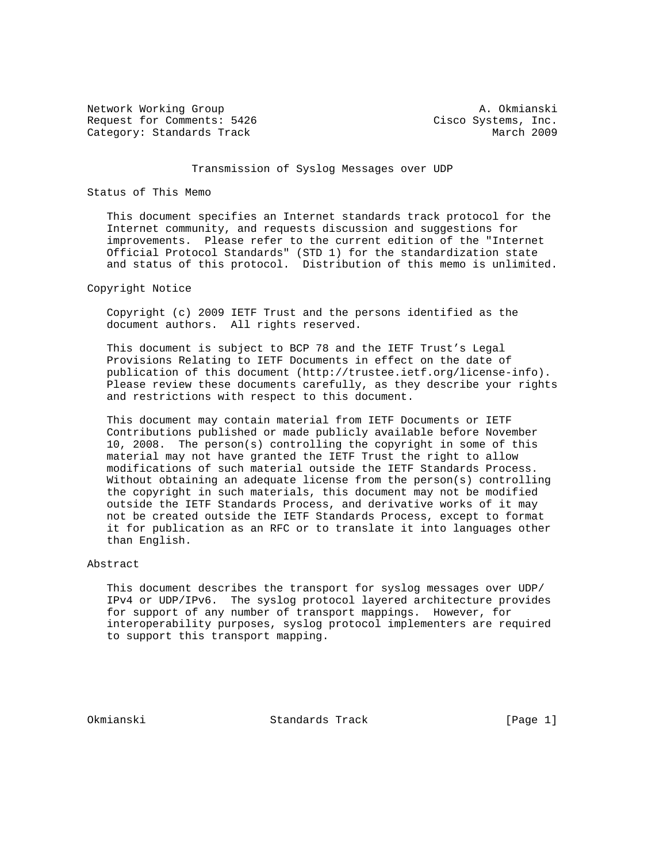Network Working Group **A. Okmianski** Request for Comments: 5426 Cisco Systems, Inc. Category: Standards Track March 2009

## Transmission of Syslog Messages over UDP

#### Status of This Memo

 This document specifies an Internet standards track protocol for the Internet community, and requests discussion and suggestions for improvements. Please refer to the current edition of the "Internet Official Protocol Standards" (STD 1) for the standardization state and status of this protocol. Distribution of this memo is unlimited.

#### Copyright Notice

 Copyright (c) 2009 IETF Trust and the persons identified as the document authors. All rights reserved.

 This document is subject to BCP 78 and the IETF Trust's Legal Provisions Relating to IETF Documents in effect on the date of publication of this document (http://trustee.ietf.org/license-info). Please review these documents carefully, as they describe your rights and restrictions with respect to this document.

 This document may contain material from IETF Documents or IETF Contributions published or made publicly available before November 10, 2008. The person(s) controlling the copyright in some of this material may not have granted the IETF Trust the right to allow modifications of such material outside the IETF Standards Process. Without obtaining an adequate license from the person(s) controlling the copyright in such materials, this document may not be modified outside the IETF Standards Process, and derivative works of it may not be created outside the IETF Standards Process, except to format it for publication as an RFC or to translate it into languages other than English.

## Abstract

 This document describes the transport for syslog messages over UDP/ IPv4 or UDP/IPv6. The syslog protocol layered architecture provides for support of any number of transport mappings. However, for interoperability purposes, syslog protocol implementers are required to support this transport mapping.

Okmianski Standards Track [Page 1]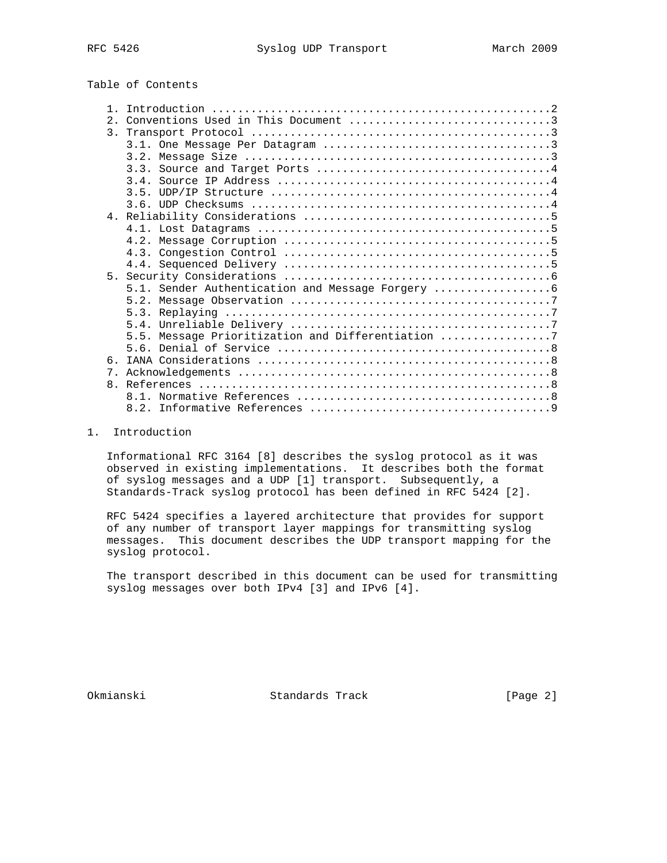# Table of Contents

| 2. |                                                   |
|----|---------------------------------------------------|
|    |                                                   |
|    |                                                   |
|    |                                                   |
|    |                                                   |
|    |                                                   |
|    |                                                   |
|    |                                                   |
|    |                                                   |
|    |                                                   |
|    |                                                   |
|    |                                                   |
|    |                                                   |
|    |                                                   |
|    | 5.1. Sender Authentication and Message Forgery    |
|    |                                                   |
|    |                                                   |
|    |                                                   |
|    | 5.5. Message Prioritization and Differentiation 7 |
|    |                                                   |
| 6  |                                                   |
| 7. |                                                   |
|    |                                                   |
|    |                                                   |
|    |                                                   |
|    |                                                   |

## 1. Introduction

 Informational RFC 3164 [8] describes the syslog protocol as it was observed in existing implementations. It describes both the format of syslog messages and a UDP [1] transport. Subsequently, a Standards-Track syslog protocol has been defined in RFC 5424 [2].

 RFC 5424 specifies a layered architecture that provides for support of any number of transport layer mappings for transmitting syslog messages. This document describes the UDP transport mapping for the syslog protocol.

 The transport described in this document can be used for transmitting syslog messages over both IPv4 [3] and IPv6 [4].

Okmianski Standards Track [Page 2]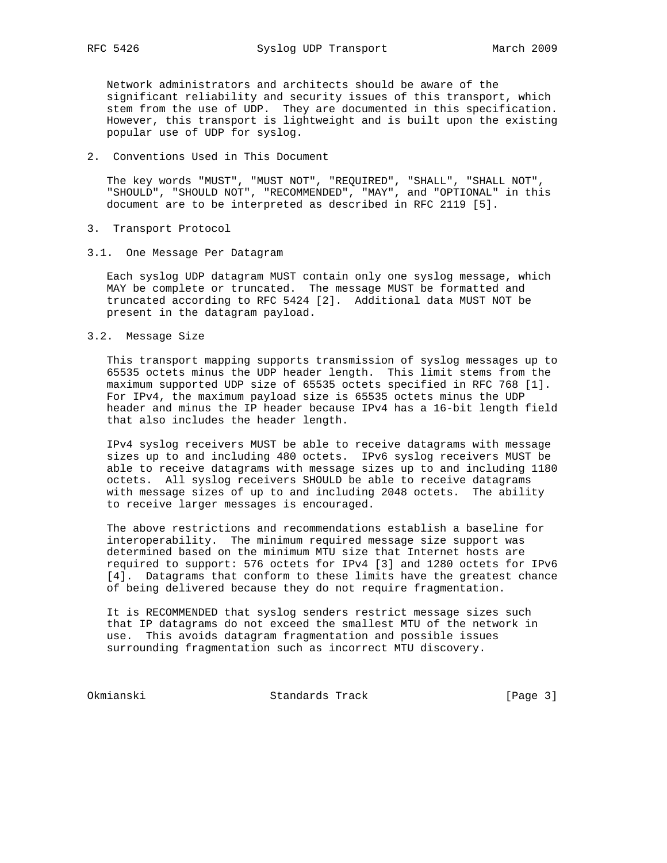Network administrators and architects should be aware of the significant reliability and security issues of this transport, which stem from the use of UDP. They are documented in this specification. However, this transport is lightweight and is built upon the existing popular use of UDP for syslog.

#### 2. Conventions Used in This Document

 The key words "MUST", "MUST NOT", "REQUIRED", "SHALL", "SHALL NOT", "SHOULD", "SHOULD NOT", "RECOMMENDED", "MAY", and "OPTIONAL" in this document are to be interpreted as described in RFC 2119 [5].

- 3. Transport Protocol
- 3.1. One Message Per Datagram

 Each syslog UDP datagram MUST contain only one syslog message, which MAY be complete or truncated. The message MUST be formatted and truncated according to RFC 5424 [2]. Additional data MUST NOT be present in the datagram payload.

3.2. Message Size

 This transport mapping supports transmission of syslog messages up to 65535 octets minus the UDP header length. This limit stems from the maximum supported UDP size of 65535 octets specified in RFC 768 [1]. For IPv4, the maximum payload size is 65535 octets minus the UDP header and minus the IP header because IPv4 has a 16-bit length field that also includes the header length.

 IPv4 syslog receivers MUST be able to receive datagrams with message sizes up to and including 480 octets. IPv6 syslog receivers MUST be able to receive datagrams with message sizes up to and including 1180 octets. All syslog receivers SHOULD be able to receive datagrams with message sizes of up to and including 2048 octets. The ability to receive larger messages is encouraged.

 The above restrictions and recommendations establish a baseline for interoperability. The minimum required message size support was determined based on the minimum MTU size that Internet hosts are required to support: 576 octets for IPv4 [3] and 1280 octets for IPv6 [4]. Datagrams that conform to these limits have the greatest chance of being delivered because they do not require fragmentation.

 It is RECOMMENDED that syslog senders restrict message sizes such that IP datagrams do not exceed the smallest MTU of the network in use. This avoids datagram fragmentation and possible issues surrounding fragmentation such as incorrect MTU discovery.

Okmianski Standards Track [Page 3]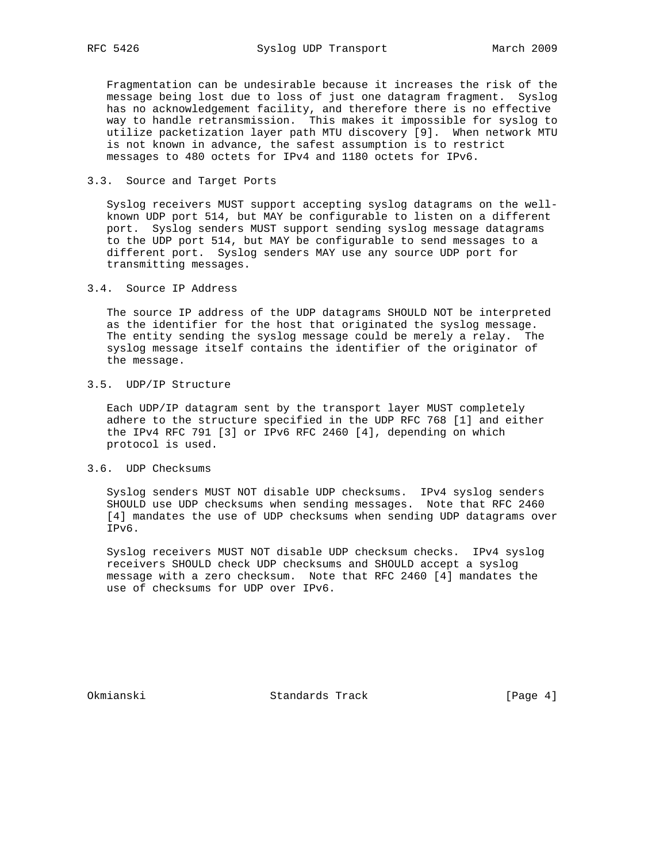Fragmentation can be undesirable because it increases the risk of the message being lost due to loss of just one datagram fragment. Syslog has no acknowledgement facility, and therefore there is no effective way to handle retransmission. This makes it impossible for syslog to utilize packetization layer path MTU discovery [9]. When network MTU is not known in advance, the safest assumption is to restrict messages to 480 octets for IPv4 and 1180 octets for IPv6.

#### 3.3. Source and Target Ports

 Syslog receivers MUST support accepting syslog datagrams on the well known UDP port 514, but MAY be configurable to listen on a different port. Syslog senders MUST support sending syslog message datagrams to the UDP port 514, but MAY be configurable to send messages to a different port. Syslog senders MAY use any source UDP port for transmitting messages.

#### 3.4. Source IP Address

 The source IP address of the UDP datagrams SHOULD NOT be interpreted as the identifier for the host that originated the syslog message. The entity sending the syslog message could be merely a relay. The syslog message itself contains the identifier of the originator of the message.

# 3.5. UDP/IP Structure

 Each UDP/IP datagram sent by the transport layer MUST completely adhere to the structure specified in the UDP RFC 768 [1] and either the IPv4 RFC 791 [3] or IPv6 RFC 2460 [4], depending on which protocol is used.

# 3.6. UDP Checksums

 Syslog senders MUST NOT disable UDP checksums. IPv4 syslog senders SHOULD use UDP checksums when sending messages. Note that RFC 2460 [4] mandates the use of UDP checksums when sending UDP datagrams over IPv6.

 Syslog receivers MUST NOT disable UDP checksum checks. IPv4 syslog receivers SHOULD check UDP checksums and SHOULD accept a syslog message with a zero checksum. Note that RFC 2460 [4] mandates the use of checksums for UDP over IPv6.

Okmianski Standards Track [Page 4]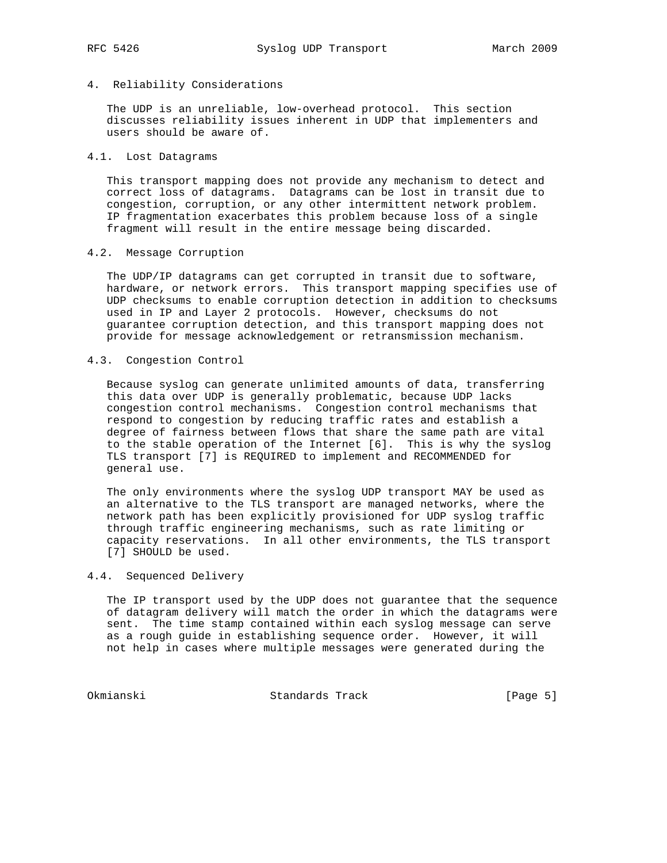# 4. Reliability Considerations

 The UDP is an unreliable, low-overhead protocol. This section discusses reliability issues inherent in UDP that implementers and users should be aware of.

#### 4.1. Lost Datagrams

 This transport mapping does not provide any mechanism to detect and correct loss of datagrams. Datagrams can be lost in transit due to congestion, corruption, or any other intermittent network problem. IP fragmentation exacerbates this problem because loss of a single fragment will result in the entire message being discarded.

## 4.2. Message Corruption

 The UDP/IP datagrams can get corrupted in transit due to software, hardware, or network errors. This transport mapping specifies use of UDP checksums to enable corruption detection in addition to checksums used in IP and Layer 2 protocols. However, checksums do not guarantee corruption detection, and this transport mapping does not provide for message acknowledgement or retransmission mechanism.

#### 4.3. Congestion Control

 Because syslog can generate unlimited amounts of data, transferring this data over UDP is generally problematic, because UDP lacks congestion control mechanisms. Congestion control mechanisms that respond to congestion by reducing traffic rates and establish a degree of fairness between flows that share the same path are vital to the stable operation of the Internet [6]. This is why the syslog TLS transport [7] is REQUIRED to implement and RECOMMENDED for general use.

 The only environments where the syslog UDP transport MAY be used as an alternative to the TLS transport are managed networks, where the network path has been explicitly provisioned for UDP syslog traffic through traffic engineering mechanisms, such as rate limiting or capacity reservations. In all other environments, the TLS transport [7] SHOULD be used.

# 4.4. Sequenced Delivery

 The IP transport used by the UDP does not guarantee that the sequence of datagram delivery will match the order in which the datagrams were sent. The time stamp contained within each syslog message can serve as a rough guide in establishing sequence order. However, it will not help in cases where multiple messages were generated during the

Okmianski Standards Track [Page 5]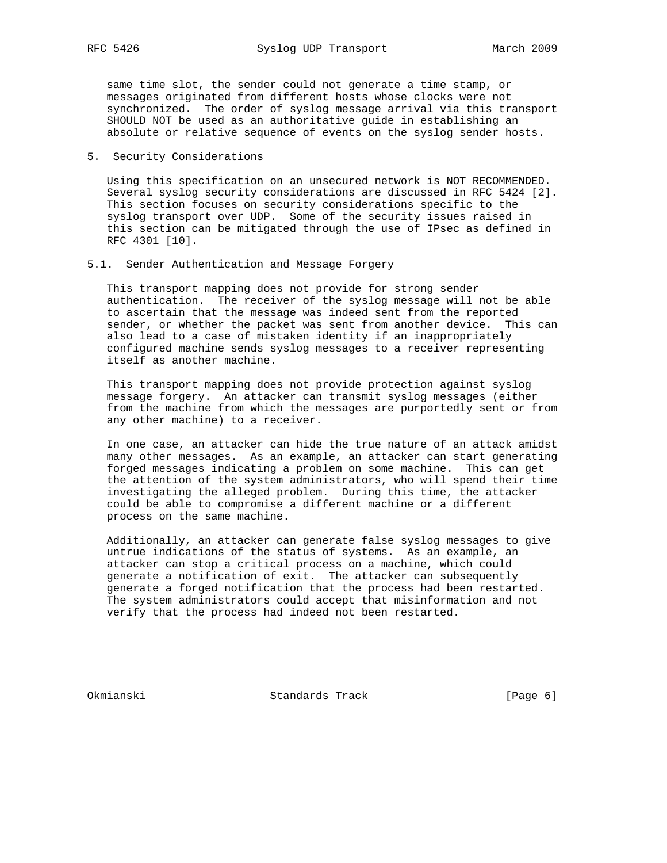same time slot, the sender could not generate a time stamp, or messages originated from different hosts whose clocks were not synchronized. The order of syslog message arrival via this transport SHOULD NOT be used as an authoritative guide in establishing an absolute or relative sequence of events on the syslog sender hosts.

### 5. Security Considerations

 Using this specification on an unsecured network is NOT RECOMMENDED. Several syslog security considerations are discussed in RFC 5424 [2]. This section focuses on security considerations specific to the syslog transport over UDP. Some of the security issues raised in this section can be mitigated through the use of IPsec as defined in RFC 4301 [10].

#### 5.1. Sender Authentication and Message Forgery

 This transport mapping does not provide for strong sender authentication. The receiver of the syslog message will not be able to ascertain that the message was indeed sent from the reported sender, or whether the packet was sent from another device. This can also lead to a case of mistaken identity if an inappropriately configured machine sends syslog messages to a receiver representing itself as another machine.

 This transport mapping does not provide protection against syslog message forgery. An attacker can transmit syslog messages (either from the machine from which the messages are purportedly sent or from any other machine) to a receiver.

 In one case, an attacker can hide the true nature of an attack amidst many other messages. As an example, an attacker can start generating forged messages indicating a problem on some machine. This can get the attention of the system administrators, who will spend their time investigating the alleged problem. During this time, the attacker could be able to compromise a different machine or a different process on the same machine.

 Additionally, an attacker can generate false syslog messages to give untrue indications of the status of systems. As an example, an attacker can stop a critical process on a machine, which could generate a notification of exit. The attacker can subsequently generate a forged notification that the process had been restarted. The system administrators could accept that misinformation and not verify that the process had indeed not been restarted.

Okmianski Standards Track [Page 6]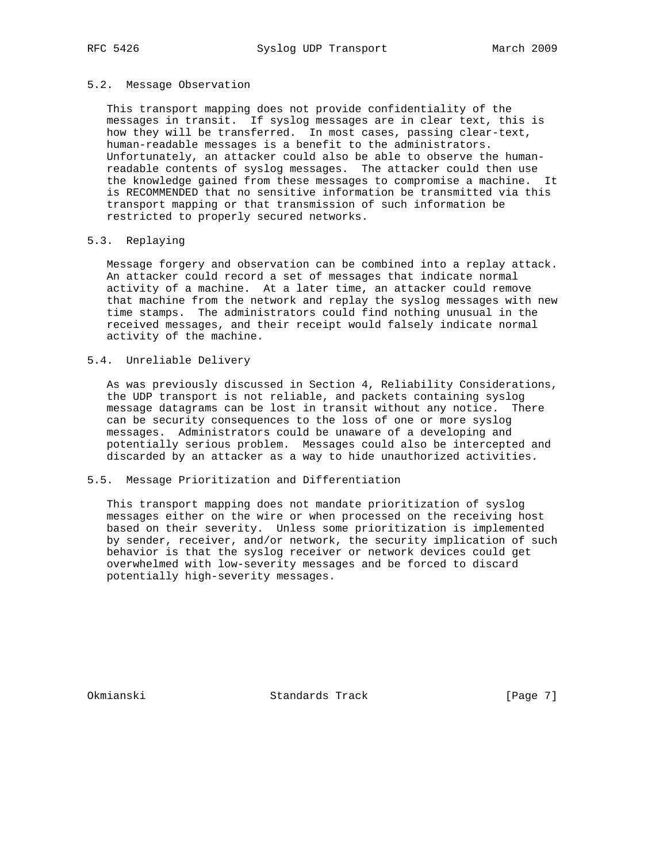#### 5.2. Message Observation

 This transport mapping does not provide confidentiality of the messages in transit. If syslog messages are in clear text, this is how they will be transferred. In most cases, passing clear-text, human-readable messages is a benefit to the administrators. Unfortunately, an attacker could also be able to observe the human readable contents of syslog messages. The attacker could then use the knowledge gained from these messages to compromise a machine. It is RECOMMENDED that no sensitive information be transmitted via this transport mapping or that transmission of such information be restricted to properly secured networks.

### 5.3. Replaying

 Message forgery and observation can be combined into a replay attack. An attacker could record a set of messages that indicate normal activity of a machine. At a later time, an attacker could remove that machine from the network and replay the syslog messages with new time stamps. The administrators could find nothing unusual in the received messages, and their receipt would falsely indicate normal activity of the machine.

## 5.4. Unreliable Delivery

 As was previously discussed in Section 4, Reliability Considerations, the UDP transport is not reliable, and packets containing syslog message datagrams can be lost in transit without any notice. There can be security consequences to the loss of one or more syslog messages. Administrators could be unaware of a developing and potentially serious problem. Messages could also be intercepted and discarded by an attacker as a way to hide unauthorized activities.

## 5.5. Message Prioritization and Differentiation

 This transport mapping does not mandate prioritization of syslog messages either on the wire or when processed on the receiving host based on their severity. Unless some prioritization is implemented by sender, receiver, and/or network, the security implication of such behavior is that the syslog receiver or network devices could get overwhelmed with low-severity messages and be forced to discard potentially high-severity messages.

Okmianski Standards Track [Page 7]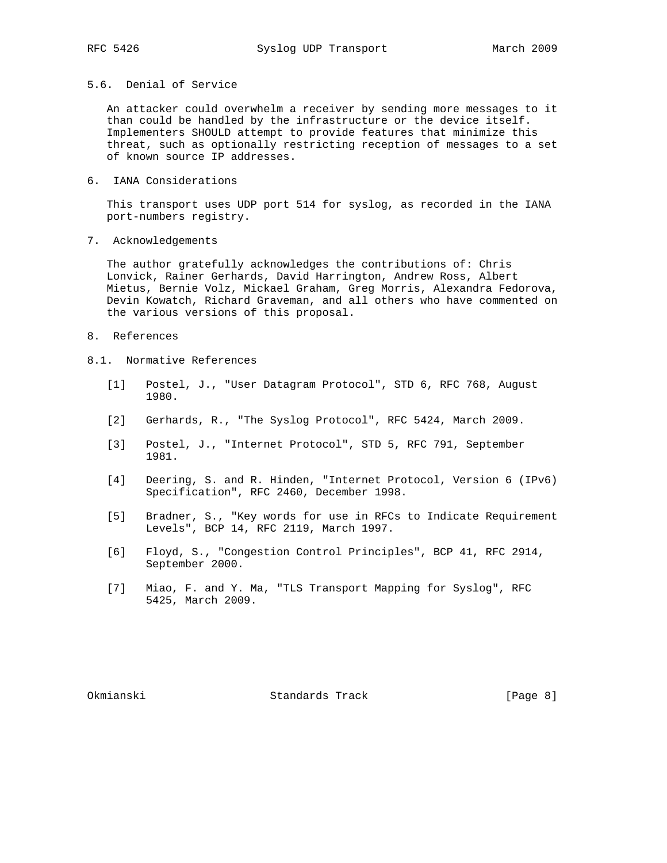# 5.6. Denial of Service

 An attacker could overwhelm a receiver by sending more messages to it than could be handled by the infrastructure or the device itself. Implementers SHOULD attempt to provide features that minimize this threat, such as optionally restricting reception of messages to a set of known source IP addresses.

6. IANA Considerations

 This transport uses UDP port 514 for syslog, as recorded in the IANA port-numbers registry.

7. Acknowledgements

 The author gratefully acknowledges the contributions of: Chris Lonvick, Rainer Gerhards, David Harrington, Andrew Ross, Albert Mietus, Bernie Volz, Mickael Graham, Greg Morris, Alexandra Fedorova, Devin Kowatch, Richard Graveman, and all others who have commented on the various versions of this proposal.

- 8. References
- 8.1. Normative References
	- [1] Postel, J., "User Datagram Protocol", STD 6, RFC 768, August 1980.
	- [2] Gerhards, R., "The Syslog Protocol", RFC 5424, March 2009.
	- [3] Postel, J., "Internet Protocol", STD 5, RFC 791, September 1981.
	- [4] Deering, S. and R. Hinden, "Internet Protocol, Version 6 (IPv6) Specification", RFC 2460, December 1998.
	- [5] Bradner, S., "Key words for use in RFCs to Indicate Requirement Levels", BCP 14, RFC 2119, March 1997.
	- [6] Floyd, S., "Congestion Control Principles", BCP 41, RFC 2914, September 2000.
	- [7] Miao, F. and Y. Ma, "TLS Transport Mapping for Syslog", RFC 5425, March 2009.

Okmianski Standards Track [Page 8]